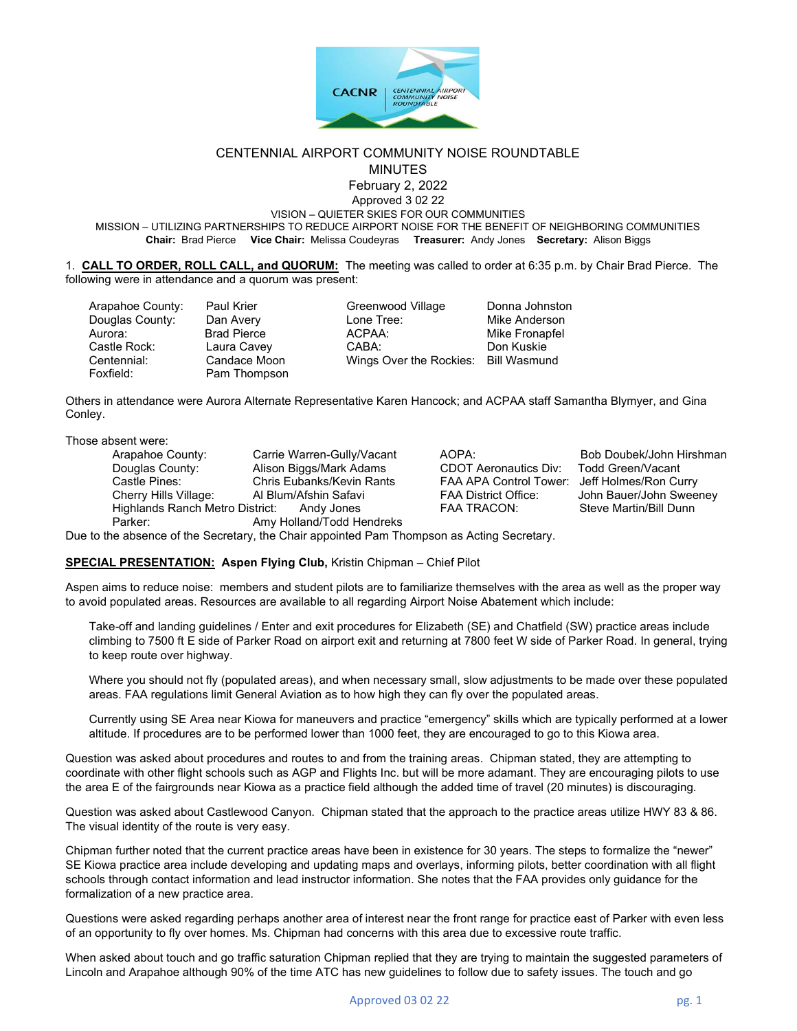

#### CENTENNIAL AIRPORT COMMUNITY NOISE ROUNDTABLE MINUTES

February 2, 2022

Approved 3 02 22 VISION – QUIETER SKIES FOR OUR COMMUNITIES

MISSION – UTILIZING PARTNERSHIPS TO REDUCE AIRPORT NOISE FOR THE BENEFIT OF NEIGHBORING COMMUNITIES Chair: Brad Pierce Vice Chair: Melissa Coudeyras Treasurer: Andy Jones Secretary: Alison Biggs

1. CALL TO ORDER, ROLL CALL, and QUORUM: The meeting was called to order at 6:35 p.m. by Chair Brad Pierce. The following were in attendance and a quorum was present:

Arapahoe County: Paul Krier Greenwood Village Donna Johnston Douglas County: Dan Avery Lone Tree: Mike Anderson Aurora: Brad Pierce ACPAA: Mike Fronapfel Castle Rock: Laura Cavey CABA: Don Kuskie Centennial: Candace Moon Wings Over the Rockies: Bill Wasmund

Pam Thompson

Others in attendance were Aurora Alternate Representative Karen Hancock; and ACPAA staff Samantha Blymyer, and Gina Conley.

Those absent were:

Arapahoe County: Carrie Warren-Gully/Vacant AOPA: Bob Doubek/John Hirshman<br>
Douglas County: Alison Biggs/Mark Adams CDOT Aeronautics Div: Todd Green/Vacant Douglas County: Alison Biggs/Mark Adams<br>Castle Pines: Chris Eubanks/Kevin Rants Castle Pines: Chris Eubanks/Kevin Rants FAA APA Control Tower: Jeff Holmes/Ron Curry Cherry Hills Village: Al Blum/Afshin Safavi **FAA District Office:** John Bauer/John Sweeney<br>
Highlands Ranch Metro District: Andy Jones FAA TRACON: Steve Martin/Bill Dunn Highlands Ranch Metro District: Andy Jones FAA TRACON: Parker: Amy Holland/Todd Hendreks

Due to the absence of the Secretary, the Chair appointed Pam Thompson as Acting Secretary.

## SPECIAL PRESENTATION: Aspen Flying Club, Kristin Chipman – Chief Pilot

Aspen aims to reduce noise: members and student pilots are to familiarize themselves with the area as well as the proper way to avoid populated areas. Resources are available to all regarding Airport Noise Abatement which include:

Take-off and landing guidelines / Enter and exit procedures for Elizabeth (SE) and Chatfield (SW) practice areas include climbing to 7500 ft E side of Parker Road on airport exit and returning at 7800 feet W side of Parker Road. In general, trying to keep route over highway.

Where you should not fly (populated areas), and when necessary small, slow adjustments to be made over these populated areas. FAA regulations limit General Aviation as to how high they can fly over the populated areas.

Currently using SE Area near Kiowa for maneuvers and practice "emergency" skills which are typically performed at a lower altitude. If procedures are to be performed lower than 1000 feet, they are encouraged to go to this Kiowa area.

Question was asked about procedures and routes to and from the training areas. Chipman stated, they are attempting to coordinate with other flight schools such as AGP and Flights Inc. but will be more adamant. They are encouraging pilots to use the area E of the fairgrounds near Kiowa as a practice field although the added time of travel (20 minutes) is discouraging.

Question was asked about Castlewood Canyon. Chipman stated that the approach to the practice areas utilize HWY 83 & 86. The visual identity of the route is very easy.

Chipman further noted that the current practice areas have been in existence for 30 years. The steps to formalize the "newer" SE Kiowa practice area include developing and updating maps and overlays, informing pilots, better coordination with all flight schools through contact information and lead instructor information. She notes that the FAA provides only guidance for the formalization of a new practice area.

Questions were asked regarding perhaps another area of interest near the front range for practice east of Parker with even less of an opportunity to fly over homes. Ms. Chipman had concerns with this area due to excessive route traffic.

When asked about touch and go traffic saturation Chipman replied that they are trying to maintain the suggested parameters of Lincoln and Arapahoe although 90% of the time ATC has new guidelines to follow due to safety issues. The touch and go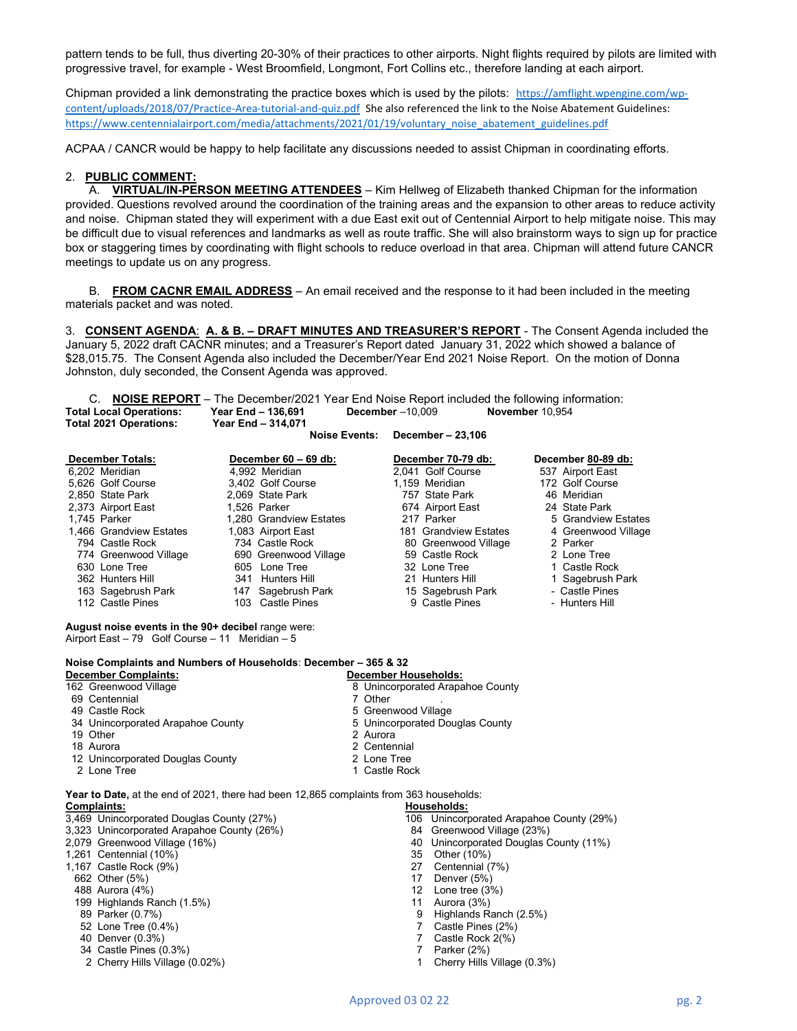pattern tends to be full, thus diverting 20-30% of their practices to other airports. Night flights required by pilots are limited with progressive travel, for example - West Broomfield, Longmont, Fort Collins etc., therefore landing at each airport.

Chipman provided a link demonstrating the practice boxes which is used by the pilots: https://amflight.wpengine.com/wpcontent/uploads/2018/07/Practice-Area-tutorial-and-quiz.pdf She also referenced the link to the Noise Abatement Guidelines: https://www.centennialairport.com/media/attachments/2021/01/19/voluntary\_noise\_abatement\_guidelines.pdf

ACPAA / CANCR would be happy to help facilitate any discussions needed to assist Chipman in coordinating efforts.

#### 2. PUBLIC COMMENT:

A. VIRTUAL/IN-PERSON MEETING ATTENDEES - Kim Hellweg of Elizabeth thanked Chipman for the information provided. Questions revolved around the coordination of the training areas and the expansion to other areas to reduce activity and noise. Chipman stated they will experiment with a due East exit out of Centennial Airport to help mitigate noise. This may be difficult due to visual references and landmarks as well as route traffic. She will also brainstorm ways to sign up for practice box or staggering times by coordinating with flight schools to reduce overload in that area. Chipman will attend future CANCR meetings to update us on any progress.

B. FROM CACNR EMAIL ADDRESS – An email received and the response to it had been included in the meeting materials packet and was noted.

3. CONSENT AGENDA: A. & B. - DRAFT MINUTES AND TREASURER'S REPORT - The Consent Agenda included the January 5, 2022 draft CACNR minutes; and a Treasurer's Report dated January 31, 2022 which showed a balance of \$28,015.75. The Consent Agenda also included the December/Year End 2021 Noise Report. On the motion of Donna Johnston, duly seconded, the Consent Agenda was approved.

C. **NOISE REPORT** – The December/2021 Year End Noise Report included the following information:<br>I Local Operations: Year End – 136,691 December –10,009 November 10,954 Total Local Operations: Year End – 136,691 December –10,009 November 10,954<br>Total 2021 Operations: Year End – 314.071 Total 2021 Operations:

| December - 23,106<br>Noise Events: |  |  |
|------------------------------------|--|--|
|------------------------------------|--|--|

| <b>December Totals:</b> | December 60 - 69 db:    | December 70-79 db:    | December 80-89 db:  |
|-------------------------|-------------------------|-----------------------|---------------------|
| 6.202 Meridian          | 4,992 Meridian          | 2.041 Golf Course     | 537 Airport East    |
| 5.626 Golf Course       | 3.402 Golf Course       | 1.159 Meridian        | 172 Golf Course     |
| 2,850 State Park        | 2.069 State Park        | 757 State Park        | 46 Meridian         |
| 2,373 Airport East      | 1.526 Parker            | 674 Airport East      | 24 State Park       |
| 1.745 Parker            | 1,280 Grandview Estates | 217 Parker            | 5 Grandview Estates |
| 1.466 Grandview Estates | 1,083 Airport East      | 181 Grandview Estates | 4 Greenwood Village |
| 794 Castle Rock         | 734 Castle Rock         | 80 Greenwood Village  | 2 Parker            |
| 774 Greenwood Village   | 690 Greenwood Village   | 59 Castle Rock        | 2 Lone Tree         |
| 630 Lone Tree           | 605 Lone Tree           | 32 Lone Tree          | 1 Castle Rock       |
| 362 Hunters Hill        | 341 Hunters Hill        | 21 Hunters Hill       | 1 Sagebrush Park    |
| 163 Sagebrush Park      | 147 Sagebrush Park      | 15 Sagebrush Park     | - Castle Pines      |
| 112 Castle Pines        | 103 Castle Pines        | 9 Castle Pines        | - Hunters Hill      |

August noise events in the 90+ decibel range were: Airport East – 79 Golf Course – 11 Meridian – 5

## Noise Complaints and Numbers of Households: December – 365 & 32

**December Complaints:** December Households:<br>162 Greenwood Village 8 0nincorporated Arapa

- 
- 69 Centennial 7 Other 2012
- 49 Castle Rock 5 Greenwood Village 34 Unincorporated Arapahoe County
- 19 Other 2 Aurora
- 18 Aurora 2 Centennial
- 12 Unincorporated Douglas County **2 2 Lone Tree**
- 2 Lone Tree 1 Castle Rock
- Year to Date, at the end of 2021, there had been 12,865 complaints from 363 households: Complaints: Households:
- 3,469 Unincorporated Douglas County (27%)<br>3,323 Unincorporated Arapahoe County (26%) 106 Unincorporated Arapahoe County (29%)
- 3,323 Unincorporated Arapahoe County (26%)
- 
- 
- 1,261 Centennial (10%) 35 Other (10%) 1,167 Castle Rock (9%) 27<br>662 Other (5%) 27
- 
- 
- 488 Aurora (4%) 12 Lone tree (3%) 199 Highlands Ranch (1.5%) 11 Aurora (3%)
- 
- 
- 40 Denver (0.3%) 7
- 
- 34 Castle Pines (0.3%) 34 Castle Pines (0.3%) 34 Cherry Hills Village (0.3%)<br>2 Cherry Hills Village (0.02%) 3 2 Cherry Hills Village (0.3%) 2 Cherry Hills Village (0.02%) 1

8 Unincorporated Arapahoe County

- 
- -
	-
- 2,079 Greenwood Village (16%) 40 Unincorporated Douglas County (11%)
	-
	-
	- 662 Other (5%) 17 Denver (5%)
		-
		-
		- 9 Highlands Ranch (2.5%)
		-
	- 52 Lone Tree (0.4%) <br>40 Denver (0.3%) 7 Castle Rock 2(%) 7 Castle Rock 2(%)
		-
		-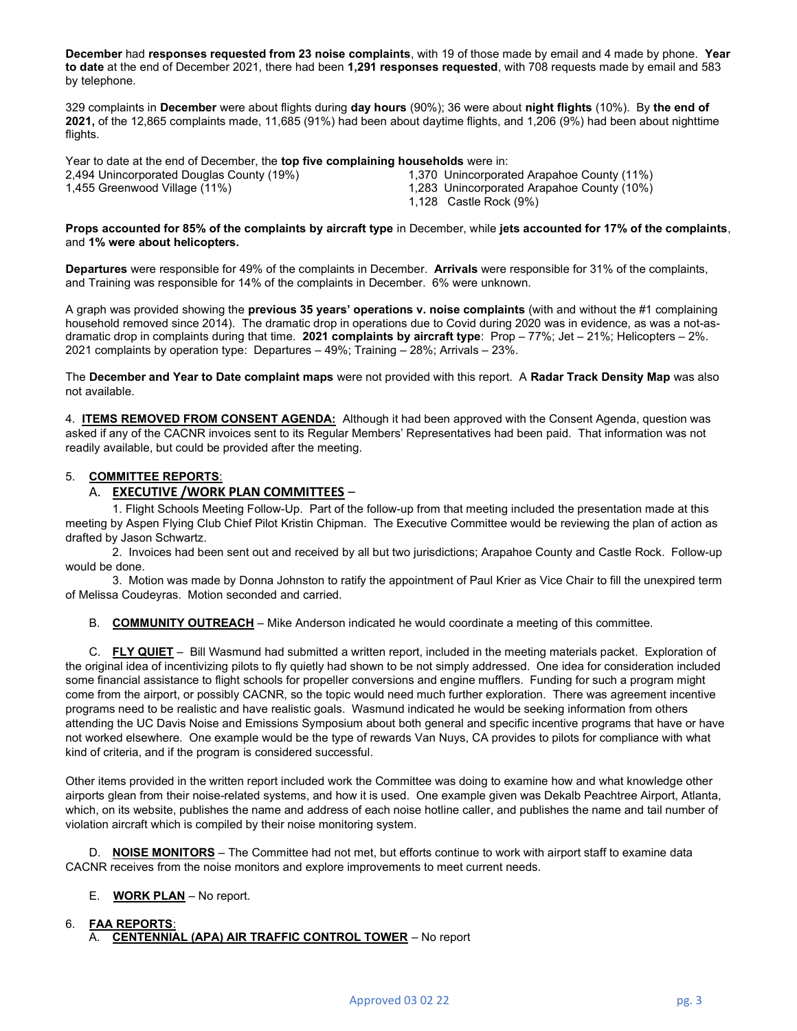December had responses requested from 23 noise complaints, with 19 of those made by email and 4 made by phone. Year to date at the end of December 2021, there had been 1,291 responses requested, with 708 requests made by email and 583 by telephone.

329 complaints in December were about flights during day hours (90%); 36 were about night flights (10%). By the end of 2021, of the 12,865 complaints made, 11,685 (91%) had been about daytime flights, and 1,206 (9%) had been about nighttime flights.

Year to date at the end of December, the top five complaining households were in:

2,494 Unincorporated Douglas County (19%) 1,370 Unincorporated Arapahoe County (11%)

1,455 Greenwood Village (11%) 1,283 Unincorporated Arapahoe County (10%)

1,128 Castle Rock (9%)

## Props accounted for 85% of the complaints by aircraft type in December, while jets accounted for 17% of the complaints, and 1% were about helicopters.

Departures were responsible for 49% of the complaints in December. Arrivals were responsible for 31% of the complaints, and Training was responsible for 14% of the complaints in December. 6% were unknown.

A graph was provided showing the **previous 35 years' operations v. noise complaints** (with and without the #1 complaining household removed since 2014). The dramatic drop in operations due to Covid during 2020 was in evidence, as was a not-asdramatic drop in complaints during that time. 2021 complaints by aircraft type: Prop – 77%; Jet – 21%; Helicopters – 2%. 2021 complaints by operation type: Departures – 49%; Training – 28%; Arrivals – 23%.

The December and Year to Date complaint maps were not provided with this report. A Radar Track Density Map was also not available.

4. ITEMS REMOVED FROM CONSENT AGENDA: Although it had been approved with the Consent Agenda, question was asked if any of the CACNR invoices sent to its Regular Members' Representatives had been paid. That information was not readily available, but could be provided after the meeting.

# 5. COMMITTEE REPORTS:

# A. EXECUTIVE / WORK PLAN COMMITTEES -

1. Flight Schools Meeting Follow-Up. Part of the follow-up from that meeting included the presentation made at this meeting by Aspen Flying Club Chief Pilot Kristin Chipman. The Executive Committee would be reviewing the plan of action as drafted by Jason Schwartz.

2. Invoices had been sent out and received by all but two jurisdictions; Arapahoe County and Castle Rock. Follow-up would be done.

3. Motion was made by Donna Johnston to ratify the appointment of Paul Krier as Vice Chair to fill the unexpired term of Melissa Coudeyras. Motion seconded and carried.

B. COMMUNITY OUTREACH – Mike Anderson indicated he would coordinate a meeting of this committee.

C. FLY QUIET - Bill Wasmund had submitted a written report, included in the meeting materials packet. Exploration of the original idea of incentivizing pilots to fly quietly had shown to be not simply addressed. One idea for consideration included some financial assistance to flight schools for propeller conversions and engine mufflers. Funding for such a program might come from the airport, or possibly CACNR, so the topic would need much further exploration. There was agreement incentive programs need to be realistic and have realistic goals. Wasmund indicated he would be seeking information from others attending the UC Davis Noise and Emissions Symposium about both general and specific incentive programs that have or have not worked elsewhere. One example would be the type of rewards Van Nuys, CA provides to pilots for compliance with what kind of criteria, and if the program is considered successful.

Other items provided in the written report included work the Committee was doing to examine how and what knowledge other airports glean from their noise-related systems, and how it is used. One example given was Dekalb Peachtree Airport, Atlanta, which, on its website, publishes the name and address of each noise hotline caller, and publishes the name and tail number of violation aircraft which is compiled by their noise monitoring system.

D. NOISE MONITORS - The Committee had not met, but efforts continue to work with airport staff to examine data CACNR receives from the noise monitors and explore improvements to meet current needs.

## E. WORK PLAN – No report.

## 6. FAA REPORTS: A. CENTENNIAL (APA) AIR TRAFFIC CONTROL TOWER - No report